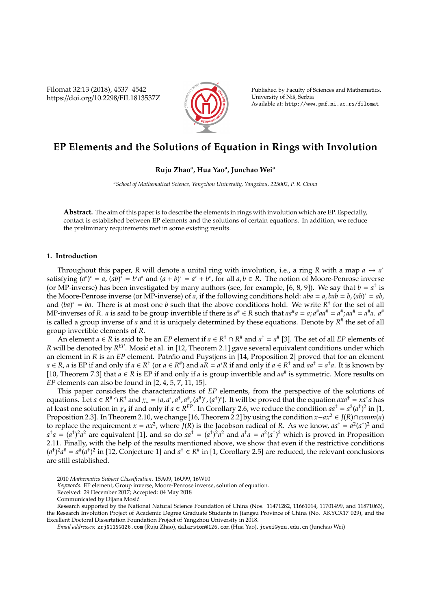Filomat 32:13 (2018), 4537–4542 https://doi.org/10.2298/FIL1813537Z



Published by Faculty of Sciences and Mathematics, University of Niš, Serbia Available at: http://www.pmf.ni.ac.rs/filomat

# **EP Elements and the Solutions of Equation in Rings with Involution**

# **Ruju Zhao<sup>a</sup> , Hua Yao<sup>a</sup> , Junchao Wei<sup>a</sup>**

*<sup>a</sup>School of Mathematical Science, Yangzhou University, Yangzhou, 225002, P. R. China*

**Abstract.** The aim of this paper is to describe the elements in rings with involution which are EP. Especially, contact is established between EP elements and the solutions of certain equations. In addition, we reduce the preliminary requirements met in some existing results.

## **1. Introduction**

Throughout this paper, *R* will denote a unital ring with involution, i.e., a ring *R* with a map  $a \mapsto a^*$ satisfying  $(a^*)^* = a$ ,  $(ab)^* = b^*a^*$  and  $(a + b)^* = a^* + b^*$ , for all  $a, b \in R$ . The notion of Moore-Penrose inverse (or MP-inverse) has been investigated by many authors (see, for example, [6, 8, 9]). We say that  $b = a^{\dagger}$  is the Moore-Penrose inverse (or MP-inverse) of *a*, if the following conditions hold:  $aba = a$ ,  $bab = b$ ,  $(ab)^* = ab$ , and  $(ba)^* = ba$ . There is at most one *b* such that the above conditions hold. We write  $R^{\dagger}$  for the set of all MP-inverses of *R*. *a* is said to be group invertible if there is  $a^# \in R$  such that  $aa^#a = a$ ;  $a^#aa^*=a^#$ ;  $aa^*=a^*a$ .  $a^*$ is called a group inverse of *a* and it is uniquely determined by these equations. Denote by *R* # the set of all group invertible elements of *R*.

An element *a*  $\in$  *R* is said to be an *EP* element if *a*  $\in$  *R*<sup>+</sup>  $\cap$  *R*<sup>#</sup> and *a*<sup>+</sup> = *a*<sup>#</sup> [3]. The set of all *EP* elements of *R* will be denoted by *R<sup>EP</sup>. Mosić et al. in [12, Theorem 2.1] gave several equivalent conditions under which* an element in *R* is an *EP* element. Patr*c*´io and Puystjens in [14, Proposition 2] proved that for an element  $a \in R$ , a is EP if and only if  $a \in R^+$  (or  $a \in R^+$ ) and  $aR = a^*R$  if and only if  $a \in R^+$  and  $aa^+ = a^*a$ . It is known by [10, Theorem 7.3] that  $a \in R$  is EP if and only if  $a$  is group invertible and  $aa^{\#}$  is symmetric. More results on *EP* elements can also be found in [2, 4, 5, 7, 11, 15].

This paper considers the characterizations of *EP* elements, from the perspective of the solutions of equations. Let  $a \in R^* \cap R^+$  and  $\chi_a = \{a, a^*, a^+, a^*, (a^*)^*, (a^*)^*\}$ . It will be proved that the equation  $axa^+ = xa^+a$  has at least one solution in  $\chi_a$  if and only if  $a \in R^{EP}$ . In Corollary 2.6, we reduce the condition  $aa^+=a^2(a^+)^2$  in [1, Proposition 2.3]. In Theorem 2.10, we change [16, Theorem 2.2] by using the condition *x*−*ax*<sup>2</sup> ∈ *J*(*R*)∩*comm*(*a*) to replace the requirement  $x = ax^2$ , where  $\bar{J}(R)$  is the Jacobson radical of *R*. As we know,  $aa^{\dagger} = a^2(a^{\dagger})^2$  and  $a^{\dagger}a = (a^{\dagger})^2 a^2$  are equivalent [1], and so do  $aa^{\dagger} = (a^{\dagger})^2 a^2$  and  $a^{\dagger}a = a^2(a^{\dagger})^2$  which is proved in Proposition 2.11. Finally, with the help of the results mentioned above, we show that even if the restrictive conditions  $(a^{\dagger})^2 a^{\dagger} = a^{\dagger} (a^{\dagger})^2$  in [12, Conjecture 1] and  $a^{\dagger} \in R^{\dagger}$  in [1, Corollary 2.5] are reduced, the relevant conclusions are still established.

<sup>2010</sup> *Mathematics Subject Classification*. 15A09, 16U99, 16W10

*Keywords*. EP element, Group inverse, Moore-Penrose inverse, solution of equation.

Received: 29 December 2017; Accepted: 04 May 2018

Communicated by Dijana Mosic´

Research supported by the National Natural Science Foundation of China (Nos. 11471282, 11661014, 11701499, and 11871063), the Research Involution Project of Academic Degree Graduate Students in Jiangsu Province of China (No. XKYCX17 029), and the Excellent Doctoral Dissertation Foundation Project of Yangzhou University in 2018.

*Email addresses:* zrj0115@126.com (Ruju Zhao), dalarston@126.com (Hua Yao), jcwei@yzu.edu.cn (Junchao Wei)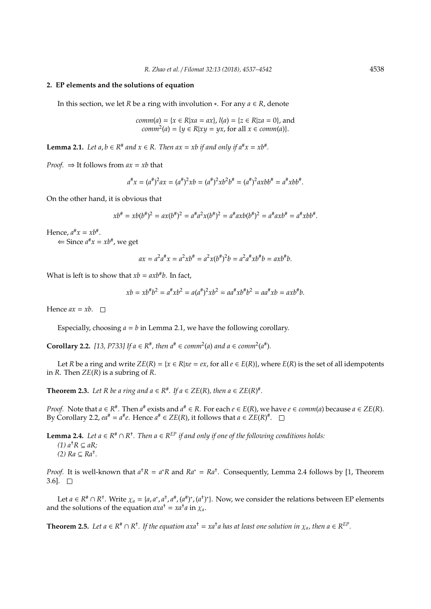### **2. EP elements and the solutions of equation**

In this section, we let *R* be a ring with involution ∗. For any *a* ∈ *R*, denote

*comm*(*a*) = { $x \in R | xa = ax$ },  $l(a) = {z \in R | za = 0}$ , and  $comm^2(a) = \{y \in R | xy = yx, \text{ for all } x \in comm(a)\}.$ 

**Lemma 2.1.** *Let a, b*  $\in$  *R*<sup>#</sup> *and*  $x \in$  *R. Then ax* = *xb if and only if*  $a^{\#}x = xb^{\#}$ *.* 

*Proof.*  $\Rightarrow$  It follows from  $ax = xb$  that

$$
a^{\#}x = (a^{\#})^2ax = (a^{\#})^2xb = (a^{\#})^2xb^2b^{\#} = (a^{\#})^2axbb^{\#} = a^{\#}xbb^{\#}.
$$

On the other hand, it is obvious that

$$
xb^{\#} = xb(b^{\#})^2 = ax(b^{\#})^2 = a^{\#}a^2x(b^{\#})^2 = a^{\#}axb(b^{\#})^2 = a^{\#}axb^{\#} = a^{\#}xbb^{\#}.
$$

Hence,  $a^{\#}x = xb^{\#}.$ 

 $\Leftrightarrow$  Since  $a^{\#}x = xb^{\#}$ , we get

$$
ax = a^2a^{\#}x = a^2xb^{\#} = a^2x(b^{\#})^2b = a^2a^{\#}xb^{\#}b = axb^{\#}b.
$$

What is left is to show that  $xb = axb^{\#}b$ . In fact,

$$
xb = xb^{\#}b^2 = a^{\#}xb^2 = a(a^{\#})^2xb^2 = aa^{\#}xb^{\#}b^2 = aa^{\#}xb = axb^{\#}b.
$$

Hence  $ax = xb$ .  $\Box$ 

Especially, choosing  $a = b$  in Lemma 2.1, we have the following corollary.

**Corollary 2.2.** [13, P733] If  $a \in \mathbb{R}^*$ , then  $a^* \in comm^2(a)$  and  $a \in comm^2(a^*)$ .

Let *R* be a ring and write  $ZE(R) = \{x \in R | xe = ex\}$ , for all  $e \in E(R)\}$ , where  $E(R)$  is the set of all idempotents in *R*. Then *ZE*(*R*) is a subring of *R*.

**Theorem 2.3.** Let R be a ring and  $a \in R^*$ . If  $a \in ZE(R)$ , then  $a \in ZE(R)^*$ .

*Proof.* Note that  $a \in R^*$ . Then  $a^*$  exists and  $a^* \in R$ . For each  $e \in E(R)$ , we have  $e \in comm(a)$  because  $a \in ZE(R)$ . By Corollary 2.2,  $ea^# = a^#e$ . Hence  $a^# \in ZE(R)$ , it follows that  $a \in ZE(R)^*$ .

**Lemma 2.4.** *Let a* ∈  $R$ <sup>#</sup>  $\cap$   $R$ <sup>†</sup>. Then  $a$  ∈  $R$ <sup>EP</sup> *if and only if one of the following conditions holds:*  $(1)$   $a<sup>†</sup>R ⊆ aR;$ *(2) Ra* ⊆ *Ra*† *.*

*Proof.* It is well-known that  $a^{\dagger}R = a^*R$  and  $Ra^* = Ra^{\dagger}$ . Consequently, Lemma 2.4 follows by [1, Theorem 3.6].  $\Box$ 

Let  $a \in R^* \cap R^*$ . Write  $\chi_a = \{a, a^*, a^*, a^*, (a^*)^*, (a^*)^*\}$ . Now, we consider the relations between EP elements and the solutions of the equation  $axa^{\dagger} = xa^{\dagger}a$  in  $\chi_a$ .

**Theorem 2.5.** Let  $a \in R^* \cap R^*$ . If the equation axa<sup>†</sup> =  $xa^{\dagger}a$  has at least one solution in  $\chi_a$ , then  $a \in R^{EP}$ .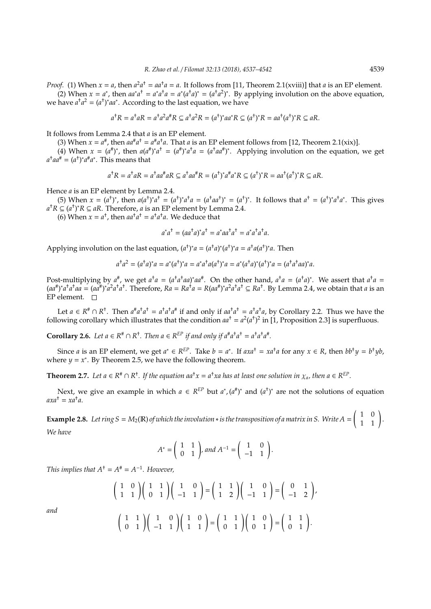*Proof.* (1) When  $x = a$ , then  $a^2a^{\dagger} = aa^{\dagger}a = a$ . It follows from [11, Theorem 2.1(xviii)] that *a* is an EP element. (2) When  $x = a^*$ , then  $aa^*a^{\dagger} = a^*a^{\dagger}a = a^*(a^{\dagger}a)^* = (a^{\dagger}a^2)^*$ . By applying involution on the above equation,

we have  $a^{\dagger}a^2 = (a^{\dagger})^* a a^*$ . According to the last equation, we have

$$
a^{\dagger}R = a^{\dagger}aR = a^{\dagger}a^2a^{\dagger}R \subseteq a^{\dagger}a^2R = (a^{\dagger})^*aa^*R \subseteq (a^{\dagger})^*R = aa^{\dagger}(a^{\dagger})^*R \subseteq aR.
$$

It follows from Lemma 2.4 that *a* is an EP element.

(3) When  $x = a^{\#}$ , then  $aa^{\#}a^{\dagger} = a^{\#}a^{\dagger}a$ . That *a* is an EP element follows from [12, Theorem 2.1(xix)].

†

(4) When  $x = (a^{\#})^*$ , then  $a(a^{\#})^*a^{\dagger} = (a^{\#})^*a^{\dagger}a = (a^{\dagger}aa^{\#})^*$ . Applying involution on the equation, we get  $a^{\dagger}aa^{\#} = (a^{\dagger})^*a^{\#}a^*$ . This means that

$$
a^{\dagger}R = a^{\dagger}aR = a^{\dagger}aa^{\#}aR \subseteq a^{\dagger}aa^{\#}R = (a^{\dagger})^*a^{\#}a^*R \subseteq (a^{\dagger})^*R = aa^{\dagger}(a^{\dagger})^*R \subseteq aR.
$$

Hence *a* is an EP element by Lemma 2.4.

(5) When  $x = (a^{\dagger})^*$ , then  $a(a^{\dagger})^* a^{\dagger} = (a^{\dagger})^* a^{\dagger} a = (a^{\dagger} a a^{\dagger})^* = (a^{\dagger})^*$ . It follows that  $a^{\dagger} = (a^{\dagger})^* a^{\dagger} a^*$ . This gives *a*<sup>†</sup>*R* ⊆ *(a*<sup>†</sup>)<sup>\*</sup>*R* ⊆ *aR*. Therefore, *a* is an EP element by Lemma 2.4.

(6) When  $x = a^{\dagger}$ , then  $aa^{\dagger}a^{\dagger} = a^{\dagger}a^{\dagger}a$ . We deduce that

$$
a^*a^{\dagger} = (aa^{\dagger}a)^*a^{\dagger} = a^*aa^{\dagger}a^{\dagger} = a^*a^{\dagger}a^{\dagger}a.
$$

Applying involution on the last equation,  $(a^{\dagger})^* a = (a^{\dagger} a)^* (a^{\dagger})^* a = a^{\dagger} a (a^{\dagger})^* a$ . Then

$$
a^{\dagger}a^2 = (a^{\dagger}a)^*a = a^*(a^{\dagger})^*a = a^*a^{\dagger}a(a^{\dagger})^*a = a^*(a^{\dagger}a)^*(a^{\dagger})^*a = (a^{\dagger}a^{\dagger}aa)^*a.
$$

Post-multiplying by  $a^{\#}$ , we get  $a^{\dagger}a = (a^{\dagger}a^{\dagger}aa)^*aa^{\#}$ . On the other hand,  $a^{\dagger}a = (a^{\dagger}a)^*$ . We assert that  $a^{\dagger}a =$  $(aa<sup>#</sup>)^*a<sup>†</sup>a<sup>†</sup>a<sup>α</sup>a = (aa<sup>#</sup>)^*a<sup>2</sup>a<sup>†</sup>a<sup>†</sup>$ . Therefore,  $Ra = Ra<sup>†</sup>a = R(aa<sup>#</sup>)^*a<sup>2</sup>a<sup>†</sup>a<sup>†</sup> \subseteq Ra<sup>†</sup>$ . By Lemma 2.4, we obtain that a is an EP element.  $\square$ 

Let  $a \in R^* \cap R^*$ . Then  $a^*a^*a^* = a^*a^*a^*$  if and only if  $aa^*a^* = a^*a^*a$ , by Corollary 2.2. Thus we have the following corollary which illustrates that the condition  $aa^+=a^2(a^+)^2$  in [1, Proposition 2.3] is superfluous.

**Corollary 2.6.** Let  $a \in \mathbb{R}^{\#} \cap \mathbb{R}^{\dagger}$ . Then  $a \in \mathbb{R}^{\text{EP}}$  if and only if  $a^{\#}a^{\dagger}a^{\dagger} = a^{\dagger}a^{\dagger}a^{\#}$ .

Since *a* is an EP element, we get  $a^* \in R^{EP}$ . Take  $b = a^*$ . If  $axa^{\dagger} = xa^{\dagger}a$  for any  $x \in R$ , then  $bb^{\dagger}y = b^{\dagger}yb$ , where  $y = x^*$ . By Theorem 2.5, we have the following theorem.

**Theorem 2.7.** Let  $a \in R^* \cap R^*$ . If the equation  $aa^{\dagger}x = a^{\dagger}xa$  has at least one solution in  $\chi_a$ , then  $a \in R^{EP}$ .

Next, we give an example in which  $a \in R^{EP}$  but  $a^*$ ,  $(a^{\#})^*$  and  $(a^{\dagger})^*$  are not the solutions of equation *axa*† = *xa*† *a*.

**Example 2.8.** Let ring  $S = M_2(\mathbb{R})$  of which the involution  $*$  is the transposition of a matrix in S. Write  $A = \begin{pmatrix} 1 & 0 \\ 1 & 1 \end{pmatrix}$ . *We have*

$$
A^* = \begin{pmatrix} 1 & 1 \\ 0 & 1 \end{pmatrix}, and A^{-1} = \begin{pmatrix} 1 & 0 \\ -1 & 1 \end{pmatrix}.
$$

*This implies that*  $A^{\dagger} = A^{\dagger} = A^{-1}$ *. However,* 

$$
\begin{pmatrix} 1 & 0 \ 1 & 1 \end{pmatrix} \begin{pmatrix} 1 & 1 \ 0 & 1 \end{pmatrix} \begin{pmatrix} 1 & 0 \ -1 & 1 \end{pmatrix} = \begin{pmatrix} 1 & 1 \ 1 & 2 \end{pmatrix} \begin{pmatrix} 1 & 0 \ -1 & 1 \end{pmatrix} = \begin{pmatrix} 0 & 1 \ -1 & 2 \end{pmatrix},
$$

*and*

$$
\begin{pmatrix} 1 & 1 \ 0 & 1 \end{pmatrix} \begin{pmatrix} 1 & 0 \ -1 & 1 \end{pmatrix} \begin{pmatrix} 1 & 0 \ 1 & 1 \end{pmatrix} = \begin{pmatrix} 1 & 1 \ 0 & 1 \end{pmatrix} \begin{pmatrix} 1 & 0 \ 0 & 1 \end{pmatrix} = \begin{pmatrix} 1 & 1 \ 0 & 1 \end{pmatrix}.
$$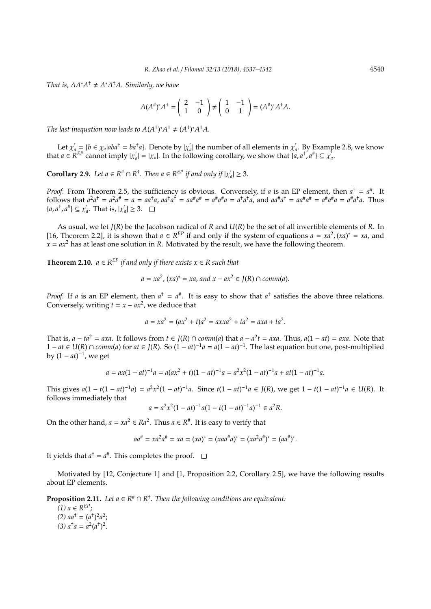*That is,*  $AA^*A^{\dagger} \neq A^*A^{\dagger}A$ *. Similarly, we have* 

$$
A(A^{\#})^*A^{\dagger} = \begin{pmatrix} 2 & -1 \\ 1 & 0 \end{pmatrix} \neq \begin{pmatrix} 1 & -1 \\ 0 & 1 \end{pmatrix} = (A^{\#})^*A^{\dagger}A.
$$

*The last inequation now leads to*  $A(A^{\dagger})^* A^{\dagger} \neq (A^{\dagger})^* A^{\dagger} A$ .

Let  $\chi'_a = \{b \in \chi_a | aba^{\dagger} = ba^{\dagger}a\}$ . Denote by  $|\chi'_a|$  $\hat{a}_a^{\prime}$ | the number of all elements in  $\chi^{\prime}_a$ *a* . By Example 2.8, we know that  $a \in \mathcal{R}^{EP}$  cannot imply  $|x|$  $a'_{a} = |\chi_a|$ . In the following corollary, we show that  $\{a, a^+, a^+\} \subseteq \chi_a^+$ *a* .

**Corollary 2.9.** *Let*  $a \in R^{\#} \cap R^{\dagger}$ *. Then*  $a \in R^{\text{EP}}$  *if and only if*  $|\chi'_a|$  $a'_{a}$  |  $\geq 3$ *.* 

*Proof.* From Theorem 2.5, the sufficiency is obvious. Conversely, if *a* is an EP element, then  $a^{\dagger} = a^{\dagger}$ . It follows that  $a^2a^{\dagger} = a^2a^{\dagger} = a = aa^{\dagger}a$ ,  $aa^{\dagger}a^{\dagger} = aa^{\dagger}a^{\dagger} = a^{\dagger}a^{\dagger}a = a^{\dagger}a^{\dagger}a$ , and  $aa^{\dagger}a^{\dagger} = aa^{\dagger}a^{\dagger} = a^{\dagger}a^{\dagger}a = a^{\dagger}a^{\dagger}a$ . Thus  ${a, a<sup>†</sup>, a<sup>#</sup>} \subseteq \chi'$  $\int_a^b$ . That is,  $|\chi_a^{\prime}|$  $a'_{a}$  |  $\geq 3$ .

As usual, we let *J*(*R*) be the Jacobson radical of *R* and *U*(*R*) be the set of all invertible elements of *R*. In [16, Theorem 2.2], it is shown that  $a \in R^{EP}$  if and only if the system of equations  $a = xa^2$ ,  $(xa)^* = xa$ , and  $x = ax^2$  has at least one solution in *R*. Motivated by the result, we have the following theorem.

**Theorem 2.10.**  $a \in R^{EP}$  *if and only if there exists*  $x \in R$  *such that* 

$$
a = xa^2
$$
,  $(xa)^* = xa$ , and  $x - ax^2 \in J(R) \cap comm(a)$ .

*Proof.* If *a* is an EP element, then  $a^{\dagger} = a^{\#}$ . It is easy to show that  $a^{\dagger}$  satisfies the above three relations. Conversely, writing  $t = x - ax^2$ , we deduce that

$$
a = xa^2 = (ax^2 + t)a^2 = axxa^2 + ta^2 = axa + ta^2.
$$

That is, *a* − *ta*<sup>2</sup> = *axa*. It follows from *t* ∈ *J*(*R*) ∩ *comm*(*a*) that *a* − *a*<sup>2</sup>*t* = *axa*. Thus, *a*(1 − *at*) = *axa*. Note that 1 − *at* ∈ *U*(*R*) ∩ *comm*(*a*) for *at* ∈ *J*(*R*). So  $(1 - at)^{-1}a = a(1 - at)^{-1}$ . The last equation but one, post-multiplied by  $(1 - at)^{-1}$ , we get

$$
a = ax(1 - at)^{-1}a = a(ax^2 + t)(1 - at)^{-1}a = a^2x^2(1 - at)^{-1}a + at(1 - at)^{-1}a.
$$

This gives  $a(1 - t(1 - at)^{-1}a) = a^2x^2(1 - at)^{-1}a$ . Since  $t(1 - at)^{-1}a \in J(R)$ , we get  $1 - t(1 - at)^{-1}a \in U(R)$ . It follows immediately that

$$
a = a^2 x^2 (1 - at)^{-1} a (1 - t(1 - at)^{-1} a)^{-1} \in a^2 R.
$$

On the other hand,  $a = xa^2 \in Ra^2$ . Thus  $a \in R^*$ . It is easy to verify that

$$
aa^{\#} = xa^2a^{\#} = xa = (xa)^* = (xaa^{\#}a)^* = (xa^2a^{\#})^* = (aa^{\#})^*.
$$

It yields that  $a^{\dagger} = a^{\#}$ . This completes the proof.

Motivated by [12, Conjecture 1] and [1, Proposition 2.2, Corollary 2.5], we have the following results about EP elements.

**Proposition 2.11.** Let  $a \in R^* \cap R^*$ . Then the following conditions are equivalent:

 $(1)$  *a* ∈  $R^{EP}$ ; (2)  $aa^{\dagger} = (a^{\dagger})^2 a^2$ ; (3)  $a^{\dagger}a = a^2(a^{\dagger})^2$ .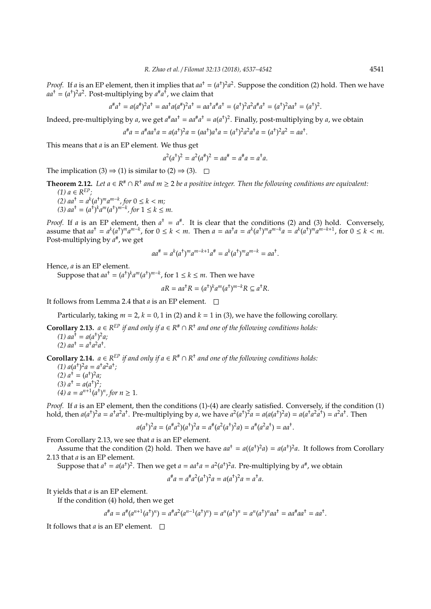.

*Proof.* If *a* is an EP element, then it implies that  $aa^+ = (a^+)^2 a^2$ . Suppose the condition (2) hold. Then we have  $aa^{\dagger} = (a^{\dagger})^2 a^2$ . Post-multiplying by  $a^{\#} a^{\dagger}$ , we claim that

$$
a^{\#}a^{\dagger} = a(a^{\#})^2 a^{\dagger} = aa^{\dagger} a(a^{\#})^2 a^{\dagger} = aa^{\dagger} a^{\#} a^{\dagger} = (a^{\dagger})^2 a^2 a^{\#} a^{\dagger} = (a^{\dagger})^2 aa^{\dagger} = (a^{\dagger})^2
$$

Indeed, pre-multiplying by *a*, we get  $a^{\#}aa^{\dagger} = aa^{\#}a^{\dagger} = a(a^{\dagger})^2$ . Finally, post-multiplying by *a*, we obtain

$$
a^{\#}a = a^{\#}aa^{\dagger}a = a(a^{\dagger})^2a = (aa^{\dagger})a^{\dagger}a = (a^{\dagger})^2a^2a^{\dagger}a = (a^{\dagger})^2a^2 = aa^{\dagger}.
$$

This means that *a* is an EP element. We thus get

$$
a^2(a^{\dagger})^2 = a^2(a^{\dagger})^2 = aa^{\dagger} = a^{\dagger}a = a^{\dagger}a.
$$

The implication (3)  $\Rightarrow$  (1) is similar to (2)  $\Rightarrow$  (3).  $\Box$ 

**Theorem 2.12.** Let 
$$
a \in R^* \cap R^*
$$
 and  $m \ge 2$  be a positive integer. Then the following conditions are equivalent:

*(1) a* ∈ *R EP;* (2)  $aa^{\dagger} = a^k (a^{\dagger})^m a^{m-k}$ , for 0 ≤  $k < m$ ; (3)  $aa^{\dagger} = (a^{\dagger})^k a^m (a^{\dagger})^{m-k}$ , for  $1 \leq k \leq m$ .

*Proof.* If *a* is an EP element, then  $a^{\dagger} = a^{\#}$ . It is clear that the conditions (2) and (3) hold. Conversely, assume that  $aa^{\dagger} = a^k (a^{\dagger})^m a^{m-k}$ , for  $0 \le k < m$ . Then  $a = aa^{\dagger} a = a^k (a^{\dagger})^m a^{m-k} a = a^k (a^{\dagger})^m a^{m-k+1}$ , for  $0 \le k < m$ . Post-multiplying by  $a^*$ , we get

$$
aa^{\#} = a^{k}(a^{\dagger})^{m}a^{m-k+1}a^{\#} = a^{k}(a^{\dagger})^{m}a^{m-k} = aa^{\dagger}.
$$

Hence, *a* is an EP element.

Suppose that  $aa^{\dagger} = (a^{\dagger})^k a^m (a^{\dagger})^{m-k}$ , for  $1 \leq k \leq m$ . Then we have

$$
aR = aa^{\dagger}R = (a^{\dagger})^k a^m (a^{\dagger})^{m-k} R \subseteq a^{\dagger}R.
$$

It follows from Lemma 2.4 that *a* is an EP element.

Particularly, taking  $m = 2$ ,  $k = 0$ , 1 in (2) and  $k = 1$  in (3), we have the following corollary.

**Corollary 2.13.**  $a \in R^{EP}$  *if and only if*  $a \in R^* \cap R^+$  *and one of the following conditions holds:* 

(1)  $aa^{\dagger} = a(a^{\dagger})^2 a;$ (2)  $aa^{\dagger} = a^{\dagger} a^2 a^{\dagger}$ .

**Corollary 2.14.**  $a \in R^{EP}$  *if and only if*  $a \in R^* \cap R^+$  *and one of the following conditions holds:* 

 $(1) a(a^{\dagger})^2 a = a^{\dagger} a^2 a^{\dagger}$ ; (2)  $a^{\dagger} = (a^{\dagger})^2 a;$ (3)  $a^{\dagger} = a(a^{\dagger})^2$ ; (4)  $a = a^{n+1}(a^{\dagger})^n$ , for  $n \ge 1$ .

*Proof.* If *a* is an EP element, then the conditions (1)-(4) are clearly satisfied. Conversely, if the condition (1) hold, then  $a(a^{\dagger})^2 a = a^{\dagger} a^2 a^{\dagger}$ . Pre-multiplying by a, we have  $a^2(a^{\dagger})^2 a = a(a(a^{\dagger})^2 a) = a(a^{\dagger} a^2 a^{\dagger}) = a^2 a^{\dagger}$ . Then

$$
a(a^{\dagger})^2 a = (a^{\dagger} a^2)(a^{\dagger})^2 a = a^{\dagger} (a^2(a^{\dagger})^2 a) = a^{\dagger} (a^2 a^{\dagger}) = a a^{\dagger}.
$$

From Corollary 2.13, we see that *a* is an EP element.

Assume that the condition (2) hold. Then we have  $aa^{\dagger} = a((a^{\dagger})^2a) = a(a^{\dagger})^2a$ . It follows from Corollary 2.13 that *a* is an EP element.

Suppose that  $a^{\dagger} = a(a^{\dagger})^2$ . Then we get  $a = aa^{\dagger}a = a^2(a^{\dagger})^2a$ . Pre-multiplying by  $a^{\#}$ , we obtain

$$
a^{\#}a = a^{\#}a^2(a^{\dagger})^2a = a(a^{\dagger})^2a = a^{\dagger}a.
$$

It yields that *a* is an EP element.

If the condition (4) hold, then we get

$$
a^{\#}a = a^{\#}(a^{n+1}(a^{\dagger})^n) = a^{\#}a^2(a^{n-1}(a^{\dagger})^n) = a^n(a^{\dagger})^n = a^n(a^{\dagger})^naa^{\dagger} = aa^{\#}aa^{\dagger} = aa^{\dagger}.
$$

It follows that *a* is an EP element.  $\square$